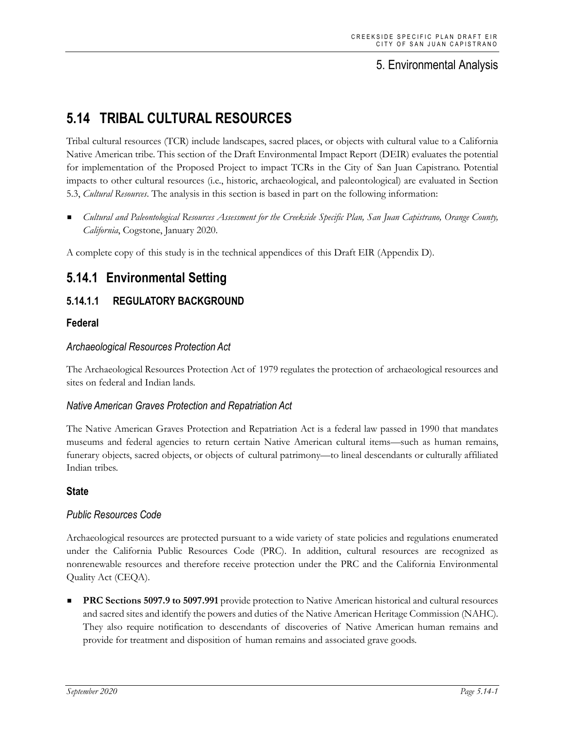## 5. Environmental Analysis

# **5.14 TRIBAL CULTURAL RESOURCES**

Tribal cultural resources (TCR) include landscapes, sacred places, or objects with cultural value to a California Native American tribe. This section of the Draft Environmental Impact Report (DEIR) evaluates the potential for implementation of the Proposed Project to impact TCRs in the City of San Juan Capistrano. Potential impacts to other cultural resources (i.e., historic, archaeological, and paleontological) are evaluated in Section 5.3, *Cultural Resources*. The analysis in this section is based in part on the following information:

 *Cultural and Paleontological Resources Assessment for the Creekside Specific Plan, San Juan Capistrano, Orange County, California*, Cogstone, January 2020.

A complete copy of this study is in the technical appendices of this Draft EIR (Appendix D).

## **5.14.1 Environmental Setting**

## **5.14.1.1 REGULATORY BACKGROUND**

#### **Federal**

#### *Archaeological Resources Protection Act*

The Archaeological Resources Protection Act of 1979 regulates the protection of archaeological resources and sites on federal and Indian lands.

#### *Native American Graves Protection and Repatriation Act*

The Native American Graves Protection and Repatriation Act is a federal law passed in 1990 that mandates museums and federal agencies to return certain Native American cultural items—such as human remains, funerary objects, sacred objects, or objects of cultural patrimony—to lineal descendants or culturally affiliated Indian tribes.

### **State**

#### *Public Resources Code*

Archaeological resources are protected pursuant to a wide variety of state policies and regulations enumerated under the California Public Resources Code (PRC). In addition, cultural resources are recognized as nonrenewable resources and therefore receive protection under the PRC and the California Environmental Quality Act (CEQA).

 **PRC Sections 5097.9 to 5097.991** provide protection to Native American historical and cultural resources and sacred sites and identify the powers and duties of the Native American Heritage Commission (NAHC). They also require notification to descendants of discoveries of Native American human remains and provide for treatment and disposition of human remains and associated grave goods.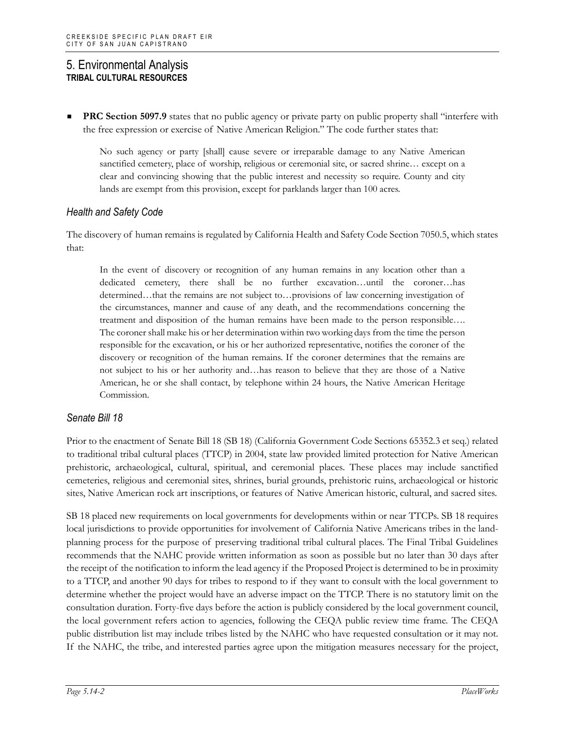**PRC Section 5097.9** states that no public agency or private party on public property shall "interfere with the free expression or exercise of Native American Religion." The code further states that:

No such agency or party [shall] cause severe or irreparable damage to any Native American sanctified cemetery, place of worship, religious or ceremonial site, or sacred shrine... except on a clear and convincing showing that the public interest and necessity so require. County and city lands are exempt from this provision, except for parklands larger than 100 acres.

#### *Health and Safety Code*

The discovery of human remains is regulated by California Health and Safety Code Section 7050.5, which states that:

In the event of discovery or recognition of any human remains in any location other than a dedicated cemetery, there shall be no further excavation…until the coroner…has determined…that the remains are not subject to…provisions of law concerning investigation of the circumstances, manner and cause of any death, and the recommendations concerning the treatment and disposition of the human remains have been made to the person responsible…. The coroner shall make his or her determination within two working days from the time the person responsible for the excavation, or his or her authorized representative, notifies the coroner of the discovery or recognition of the human remains. If the coroner determines that the remains are not subject to his or her authority and…has reason to believe that they are those of a Native American, he or she shall contact, by telephone within 24 hours, the Native American Heritage Commission.

#### *Senate Bill 18*

Prior to the enactment of Senate Bill 18 (SB 18) (California Government Code Sections 65352.3 et seq.) related to traditional tribal cultural places (TTCP) in 2004, state law provided limited protection for Native American prehistoric, archaeological, cultural, spiritual, and ceremonial places. These places may include sanctified cemeteries, religious and ceremonial sites, shrines, burial grounds, prehistoric ruins, archaeological or historic sites, Native American rock art inscriptions, or features of Native American historic, cultural, and sacred sites.

SB 18 placed new requirements on local governments for developments within or near TTCPs. SB 18 requires local jurisdictions to provide opportunities for involvement of California Native Americans tribes in the landplanning process for the purpose of preserving traditional tribal cultural places. The Final Tribal Guidelines recommends that the NAHC provide written information as soon as possible but no later than 30 days after the receipt of the notification to inform the lead agency if the Proposed Project is determined to be in proximity to a TTCP, and another 90 days for tribes to respond to if they want to consult with the local government to determine whether the project would have an adverse impact on the TTCP. There is no statutory limit on the consultation duration. Forty-five days before the action is publicly considered by the local government council, the local government refers action to agencies, following the CEQA public review time frame. The CEQA public distribution list may include tribes listed by the NAHC who have requested consultation or it may not. If the NAHC, the tribe, and interested parties agree upon the mitigation measures necessary for the project,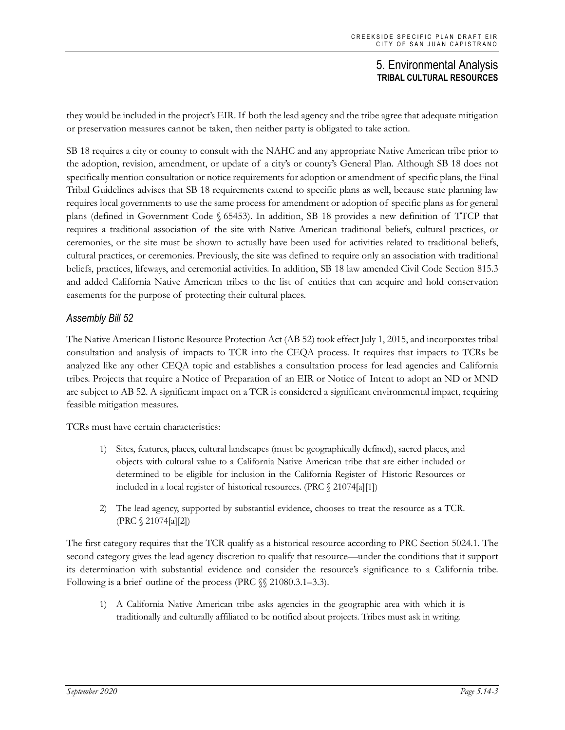they would be included in the project's EIR. If both the lead agency and the tribe agree that adequate mitigation or preservation measures cannot be taken, then neither party is obligated to take action.

SB 18 requires a city or county to consult with the NAHC and any appropriate Native American tribe prior to the adoption, revision, amendment, or update of a city's or county's General Plan. Although SB 18 does not specifically mention consultation or notice requirements for adoption or amendment of specific plans, the Final Tribal Guidelines advises that SB 18 requirements extend to specific plans as well, because state planning law requires local governments to use the same process for amendment or adoption of specific plans as for general plans (defined in Government Code § 65453). In addition, SB 18 provides a new definition of TTCP that requires a traditional association of the site with Native American traditional beliefs, cultural practices, or ceremonies, or the site must be shown to actually have been used for activities related to traditional beliefs, cultural practices, or ceremonies. Previously, the site was defined to require only an association with traditional beliefs, practices, lifeways, and ceremonial activities. In addition, SB 18 law amended Civil Code Section 815.3 and added California Native American tribes to the list of entities that can acquire and hold conservation easements for the purpose of protecting their cultural places.

### *Assembly Bill 52*

The Native American Historic Resource Protection Act (AB 52) took effect July 1, 2015, and incorporates tribal consultation and analysis of impacts to TCR into the CEQA process. It requires that impacts to TCRs be analyzed like any other CEQA topic and establishes a consultation process for lead agencies and California tribes. Projects that require a Notice of Preparation of an EIR or Notice of Intent to adopt an ND or MND are subject to AB 52. A significant impact on a TCR is considered a significant environmental impact, requiring feasible mitigation measures.

TCRs must have certain characteristics:

- 1) Sites, features, places, cultural landscapes (must be geographically defined), sacred places, and objects with cultural value to a California Native American tribe that are either included or determined to be eligible for inclusion in the California Register of Historic Resources or included in a local register of historical resources. (PRC § 21074[a][1])
- 2) The lead agency, supported by substantial evidence, chooses to treat the resource as a TCR. (PRC § 21074[a][2])

The first category requires that the TCR qualify as a historical resource according to PRC Section 5024.1. The second category gives the lead agency discretion to qualify that resource—under the conditions that it support its determination with substantial evidence and consider the resource's significance to a California tribe. Following is a brief outline of the process (PRC §§ 21080.3.1–3.3).

1) A California Native American tribe asks agencies in the geographic area with which it is traditionally and culturally affiliated to be notified about projects. Tribes must ask in writing.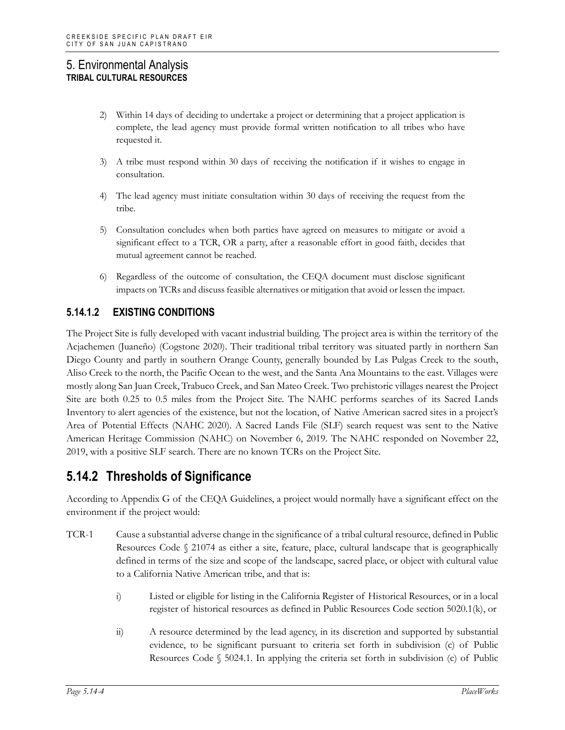- 2) Within 14 days of deciding to undertake a project or determining that a project application is complete, the lead agency must provide formal written notification to all tribes who have requested it.
- 3) A tribe must respond within 30 days of receiving the notification if it wishes to engage in consultation.
- 4) The lead agency must initiate consultation within 30 days of receiving the request from the tribe.
- 5) Consultation concludes when both parties have agreed on measures to mitigate or avoid a significant effect to a TCR, OR a party, after a reasonable effort in good faith, decides that mutual agreement cannot be reached.
- 6) Regardless of the outcome of consultation, the CEQA document must disclose significant impacts on TCRs and discuss feasible alternatives or mitigation that avoid or lessen the impact.

## **5.14.1.2 EXISTING CONDITIONS**

The Project Site is fully developed with vacant industrial building. The project area is within the territory of the Acjachemen (Juaneño) (Cogstone 2020). Their traditional tribal territory was situated partly in northern San Diego County and partly in southern Orange County, generally bounded by Las Pulgas Creek to the south, Aliso Creek to the north, the Pacific Ocean to the west, and the Santa Ana Mountains to the east. Villages were mostly along San Juan Creek, Trabuco Creek, and San Mateo Creek. Two prehistoric villages nearest the Project Site are both 0.25 to 0.5 miles from the Project Site. The NAHC performs searches of its Sacred Lands Inventory to alert agencies of the existence, but not the location, of Native American sacred sites in a project's Area of Potential Effects (NAHC 2020). A Sacred Lands File (SLF) search request was sent to the Native American Heritage Commission (NAHC) on November 6, 2019. The NAHC responded on November 22, 2019, with a positive SLF search. There are no known TCRs on the Project Site.

## **5.14.2 Thresholds of Significance**

According to Appendix G of the CEQA Guidelines, a project would normally have a significant effect on the environment if the project would:

- TCR-1 Cause a substantial adverse change in the significance of a tribal cultural resource, defined in Public Resources Code § 21074 as either a site, feature, place, cultural landscape that is geographically defined in terms of the size and scope of the landscape, sacred place, or object with cultural value to a California Native American tribe, and that is:
	- i) Listed or eligible for listing in the California Register of Historical Resources, or in a local register of historical resources as defined in Public Resources Code section 5020.1(k), or
	- ii) A resource determined by the lead agency, in its discretion and supported by substantial evidence, to be significant pursuant to criteria set forth in subdivision (c) of Public Resources Code § 5024.1. In applying the criteria set forth in subdivision (c) of Public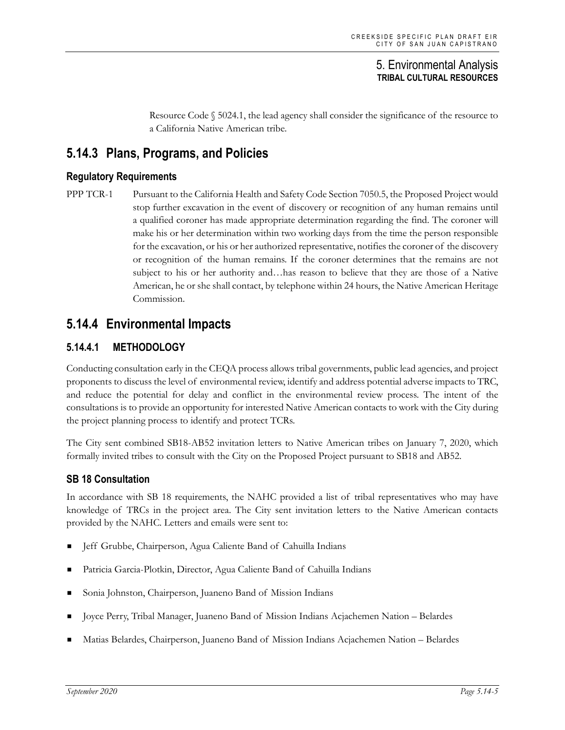Resource Code  $\S$  5024.1, the lead agency shall consider the significance of the resource to a California Native American tribe.

## **5.14.3 Plans, Programs, and Policies**

#### **Regulatory Requirements**

PPP TCR-1 Pursuant to the California Health and Safety Code Section 7050.5, the Proposed Project would stop further excavation in the event of discovery or recognition of any human remains until a qualified coroner has made appropriate determination regarding the find. The coroner will make his or her determination within two working days from the time the person responsible for the excavation, or his or her authorized representative, notifies the coroner of the discovery or recognition of the human remains. If the coroner determines that the remains are not subject to his or her authority and…has reason to believe that they are those of a Native American, he or she shall contact, by telephone within 24 hours, the Native American Heritage Commission.

## **5.14.4 Environmental Impacts**

### **5.14.4.1 METHODOLOGY**

Conducting consultation early in the CEQA process allows tribal governments, public lead agencies, and project proponents to discuss the level of environmental review, identify and address potential adverse impacts to TRC, and reduce the potential for delay and conflict in the environmental review process. The intent of the consultations is to provide an opportunity for interested Native American contacts to work with the City during the project planning process to identify and protect TCRs.

The City sent combined SB18-AB52 invitation letters to Native American tribes on January 7, 2020, which formally invited tribes to consult with the City on the Proposed Project pursuant to SB18 and AB52.

#### **SB 18 Consultation**

In accordance with SB 18 requirements, the NAHC provided a list of tribal representatives who may have knowledge of TRCs in the project area. The City sent invitation letters to the Native American contacts provided by the NAHC. Letters and emails were sent to:

- Jeff Grubbe, Chairperson, Agua Caliente Band of Cahuilla Indians
- Patricia Garcia-Plotkin, Director, Agua Caliente Band of Cahuilla Indians
- Sonia Johnston, Chairperson, Juaneno Band of Mission Indians
- Joyce Perry, Tribal Manager, Juaneno Band of Mission Indians Acjachemen Nation Belardes
- Matias Belardes, Chairperson, Juaneno Band of Mission Indians Acjachemen Nation Belardes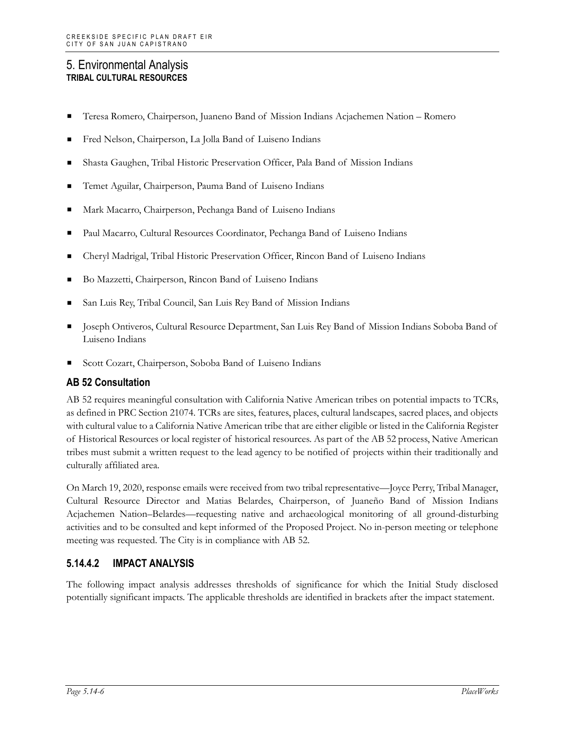- Teresa Romero, Chairperson, Juaneno Band of Mission Indians Acjachemen Nation Romero
- Fred Nelson, Chairperson, La Jolla Band of Luiseno Indians
- Shasta Gaughen, Tribal Historic Preservation Officer, Pala Band of Mission Indians
- Temet Aguilar, Chairperson, Pauma Band of Luiseno Indians
- Mark Macarro, Chairperson, Pechanga Band of Luiseno Indians
- Paul Macarro, Cultural Resources Coordinator, Pechanga Band of Luiseno Indians
- Cheryl Madrigal, Tribal Historic Preservation Officer, Rincon Band of Luiseno Indians
- Bo Mazzetti, Chairperson, Rincon Band of Luiseno Indians
- San Luis Rey, Tribal Council, San Luis Rey Band of Mission Indians
- Joseph Ontiveros, Cultural Resource Department, San Luis Rey Band of Mission Indians Soboba Band of Luiseno Indians
- Scott Cozart, Chairperson, Soboba Band of Luiseno Indians

#### **AB 52 Consultation**

AB 52 requires meaningful consultation with California Native American tribes on potential impacts to TCRs, as defined in PRC Section 21074. TCRs are sites, features, places, cultural landscapes, sacred places, and objects with cultural value to a California Native American tribe that are either eligible or listed in the California Register of Historical Resources or local register of historical resources. As part of the AB 52 process, Native American tribes must submit a written request to the lead agency to be notified of projects within their traditionally and culturally affiliated area.

On March 19, 2020, response emails were received from two tribal representative—Joyce Perry, Tribal Manager, Cultural Resource Director and Matias Belardes, Chairperson, of Juaneño Band of Mission Indians Acjachemen Nation–Belardes—requesting native and archaeological monitoring of all ground-disturbing activities and to be consulted and kept informed of the Proposed Project. No in-person meeting or telephone meeting was requested. The City is in compliance with AB 52.

### **5.14.4.2 IMPACT ANALYSIS**

The following impact analysis addresses thresholds of significance for which the Initial Study disclosed potentially significant impacts. The applicable thresholds are identified in brackets after the impact statement.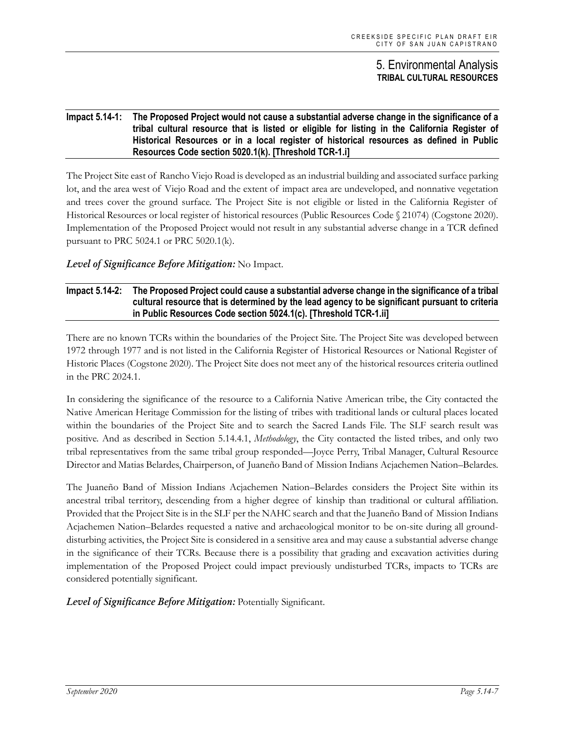#### **Impact 5.14-1: The Proposed Project would not cause a substantial adverse change in the significance of a tribal cultural resource that is listed or eligible for listing in the California Register of Historical Resources or in a local register of historical resources as defined in Public Resources Code section 5020.1(k). [Threshold TCR-1.i]**

The Project Site east of Rancho Viejo Road is developed as an industrial building and associated surface parking lot, and the area west of Viejo Road and the extent of impact area are undeveloped, and nonnative vegetation and trees cover the ground surface. The Project Site is not eligible or listed in the California Register of Historical Resources or local register of historical resources (Public Resources Code § 21074) (Cogstone 2020). Implementation of the Proposed Project would not result in any substantial adverse change in a TCR defined pursuant to PRC 5024.1 or PRC 5020.1(k).

#### *Level of Significance Before Mitigation:* No Impact.

#### **Impact 5.14-2: The Proposed Project could cause a substantial adverse change in the significance of a tribal cultural resource that is determined by the lead agency to be significant pursuant to criteria in Public Resources Code section 5024.1(c). [Threshold TCR-1.ii]**

There are no known TCRs within the boundaries of the Project Site. The Project Site was developed between 1972 through 1977 and is not listed in the California Register of Historical Resources or National Register of Historic Places (Cogstone 2020). The Project Site does not meet any of the historical resources criteria outlined in the PRC 2024.1.

In considering the significance of the resource to a California Native American tribe, the City contacted the Native American Heritage Commission for the listing of tribes with traditional lands or cultural places located within the boundaries of the Project Site and to search the Sacred Lands File. The SLF search result was positive. And as described in Section 5.14.4.1, *Methodology*, the City contacted the listed tribes, and only two tribal representatives from the same tribal group responded—Joyce Perry, Tribal Manager, Cultural Resource Director and Matias Belardes, Chairperson, of Juaneño Band of Mission Indians Acjachemen Nation–Belardes.

The Juaneño Band of Mission Indians Acjachemen Nation–Belardes considers the Project Site within its ancestral tribal territory, descending from a higher degree of kinship than traditional or cultural affiliation. Provided that the Project Site is in the SLF per the NAHC search and that the Juaneño Band of Mission Indians Acjachemen Nation–Belardes requested a native and archaeological monitor to be on-site during all grounddisturbing activities, the Project Site is considered in a sensitive area and may cause a substantial adverse change in the significance of their TCRs. Because there is a possibility that grading and excavation activities during implementation of the Proposed Project could impact previously undisturbed TCRs, impacts to TCRs are considered potentially significant.

*Level of Significance Before Mitigation:* Potentially Significant.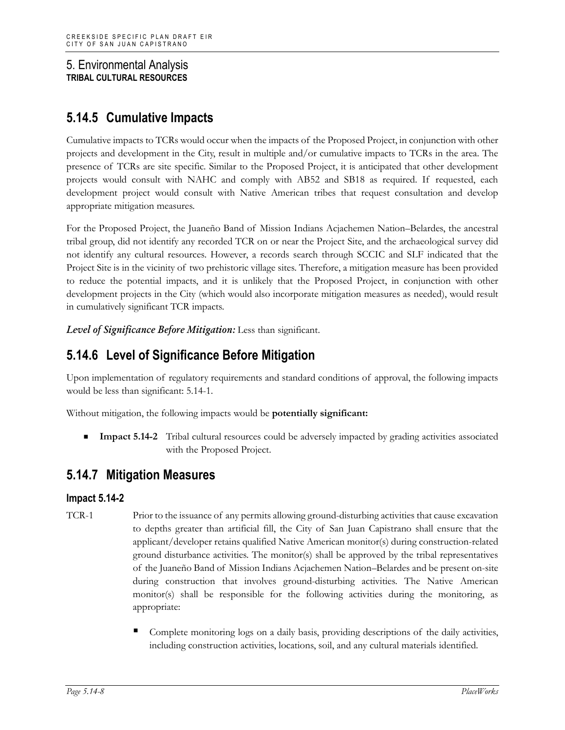## **5.14.5 Cumulative Impacts**

Cumulative impacts to TCRs would occur when the impacts of the Proposed Project, in conjunction with other projects and development in the City, result in multiple and/or cumulative impacts to TCRs in the area. The presence of TCRs are site specific. Similar to the Proposed Project, it is anticipated that other development projects would consult with NAHC and comply with AB52 and SB18 as required. If requested, each development project would consult with Native American tribes that request consultation and develop appropriate mitigation measures.

For the Proposed Project, the Juaneño Band of Mission Indians Acjachemen Nation–Belardes, the ancestral tribal group, did not identify any recorded TCR on or near the Project Site, and the archaeological survey did not identify any cultural resources. However, a records search through SCCIC and SLF indicated that the Project Site is in the vicinity of two prehistoric village sites. Therefore, a mitigation measure has been provided to reduce the potential impacts, and it is unlikely that the Proposed Project, in conjunction with other development projects in the City (which would also incorporate mitigation measures as needed), would result in cumulatively significant TCR impacts.

*Level of Significance Before Mitigation:* Less than significant.

## **5.14.6 Level of Significance Before Mitigation**

Upon implementation of regulatory requirements and standard conditions of approval, the following impacts would be less than significant: 5.14-1.

Without mitigation, the following impacts would be **potentially significant:**

**Impact 5.14-2** Tribal cultural resources could be adversely impacted by grading activities associated with the Proposed Project.

## **5.14.7 Mitigation Measures**

## **Impact 5.14-2**

- TCR-1 Prior to the issuance of any permits allowing ground-disturbing activities that cause excavation to depths greater than artificial fill, the City of San Juan Capistrano shall ensure that the applicant/developer retains qualified Native American monitor(s) during construction-related ground disturbance activities. The monitor(s) shall be approved by the tribal representatives of the Juaneño Band of Mission Indians Acjachemen Nation–Belardes and be present on-site during construction that involves ground-disturbing activities. The Native American monitor(s) shall be responsible for the following activities during the monitoring, as appropriate:
	- Complete monitoring logs on a daily basis, providing descriptions of the daily activities, including construction activities, locations, soil, and any cultural materials identified.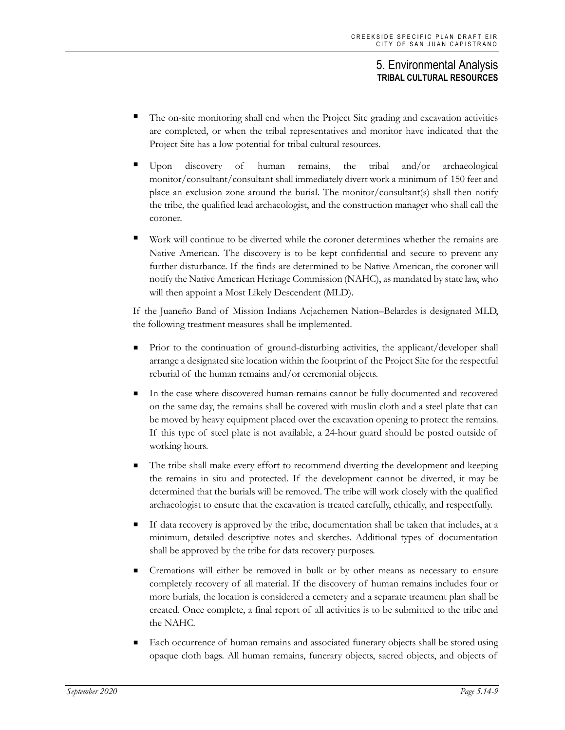- The on-site monitoring shall end when the Project Site grading and excavation activities are completed, or when the tribal representatives and monitor have indicated that the Project Site has a low potential for tribal cultural resources.
- Upon discovery of human remains, the tribal and/or archaeological monitor/consultant/consultant shall immediately divert work a minimum of 150 feet and place an exclusion zone around the burial. The monitor/consultant(s) shall then notify the tribe, the qualified lead archaeologist, and the construction manager who shall call the coroner.
- Work will continue to be diverted while the coroner determines whether the remains are Native American. The discovery is to be kept confidential and secure to prevent any further disturbance. If the finds are determined to be Native American, the coroner will notify the Native American Heritage Commission (NAHC), as mandated by state law, who will then appoint a Most Likely Descendent (MLD).

If the Juaneño Band of Mission Indians Acjachemen Nation–Belardes is designated MLD, the following treatment measures shall be implemented.

- **Prior** to the continuation of ground-disturbing activities, the applicant/developer shall arrange a designated site location within the footprint of the Project Site for the respectful reburial of the human remains and/or ceremonial objects.
- In the case where discovered human remains cannot be fully documented and recovered on the same day, the remains shall be covered with muslin cloth and a steel plate that can be moved by heavy equipment placed over the excavation opening to protect the remains. If this type of steel plate is not available, a 24-hour guard should be posted outside of working hours.
- The tribe shall make every effort to recommend diverting the development and keeping the remains in situ and protected. If the development cannot be diverted, it may be determined that the burials will be removed. The tribe will work closely with the qualified archaeologist to ensure that the excavation is treated carefully, ethically, and respectfully.
- If data recovery is approved by the tribe, documentation shall be taken that includes, at a minimum, detailed descriptive notes and sketches. Additional types of documentation shall be approved by the tribe for data recovery purposes.
- Cremations will either be removed in bulk or by other means as necessary to ensure completely recovery of all material. If the discovery of human remains includes four or more burials, the location is considered a cemetery and a separate treatment plan shall be created. Once complete, a final report of all activities is to be submitted to the tribe and the NAHC.
- Each occurrence of human remains and associated funerary objects shall be stored using opaque cloth bags. All human remains, funerary objects, sacred objects, and objects of